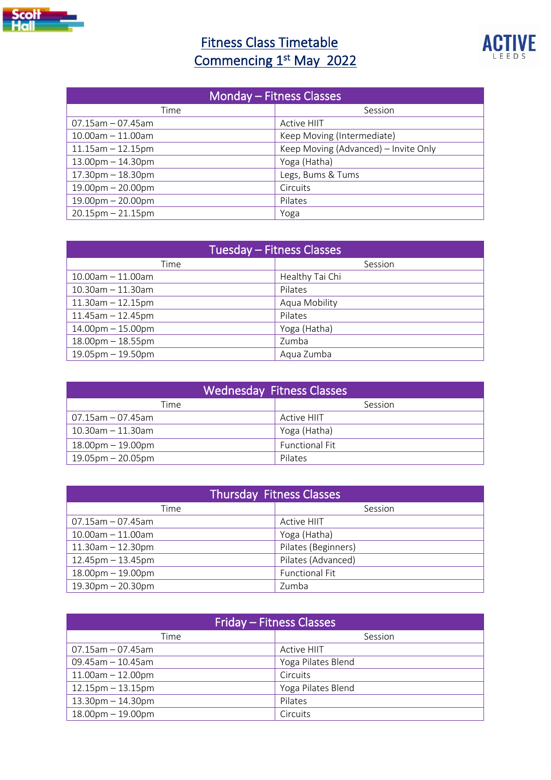

## **Fitness Class Timetable** Commencing 1<sup>st</sup> May 2022



| Monday - Fitness Classes |                                      |  |
|--------------------------|--------------------------------------|--|
| Time                     | Session                              |  |
| $07.15$ am $-07.45$ am   | Active HIIT                          |  |
| $10.00$ am $-11.00$ am   | Keep Moving (Intermediate)           |  |
| $11.15$ am $-12.15$ pm   | Keep Moving (Advanced) - Invite Only |  |
| $13.00$ pm $- 14.30$ pm  | Yoga (Hatha)                         |  |
| $17.30$ pm $-18.30$ pm   | Legs, Bums & Tums                    |  |
| $19.00$ pm $- 20.00$ pm  | Circuits                             |  |
| $19.00$ pm $- 20.00$ pm  | Pilates                              |  |
| $20.15$ pm $- 21.15$ pm  | Yoga                                 |  |

| <b>Tuesday - Fitness Classes</b> |                 |  |
|----------------------------------|-----------------|--|
| Time                             | Session         |  |
| $10.00$ am $-11.00$ am           | Healthy Tai Chi |  |
| $10.30$ am $- 11.30$ am          | Pilates         |  |
| $11.30$ am $- 12.15$ pm          | Aqua Mobility   |  |
| $11.45$ am $- 12.45$ pm          | Pilates         |  |
| $14.00pm - 15.00pm$              | Yoga (Hatha)    |  |
| $18.00$ pm $-18.55$ pm           | Zumba           |  |
| $19.05$ pm $-19.50$ pm           | Aqua Zumba      |  |

| <b>Wednesday Fitness Classes</b> |                       |  |
|----------------------------------|-----------------------|--|
| Time                             | Session               |  |
| 07.15am - 07.45am                | <b>Active HIIT</b>    |  |
| $10.30$ am - 11.30am             | Yoga (Hatha)          |  |
| $18.00$ pm $-19.00$ pm           | <b>Functional Fit</b> |  |
| $19.05$ pm – 20.05pm             | Pilates               |  |

| <b>Thursday Fitness Classes</b> |                       |  |
|---------------------------------|-----------------------|--|
| Time                            | Session               |  |
| $07.15$ am $-07.45$ am          | <b>Active HIIT</b>    |  |
| $10.00$ am $- 11.00$ am         | Yoga (Hatha)          |  |
| $11.30$ am $- 12.30$ pm         | Pilates (Beginners)   |  |
| $12.45$ pm $-13.45$ pm          | Pilates (Advanced)    |  |
| $18.00$ pm $-19.00$ pm          | <b>Functional Fit</b> |  |
| $19.30$ pm $- 20.30$ pm         | Zumba                 |  |

| Friday – Fitness Classes |                    |  |
|--------------------------|--------------------|--|
| Time                     | Session            |  |
| $07.15$ am - 07.45am     | <b>Active HIIT</b> |  |
| $09.45$ am - 10.45am     | Yoga Pilates Blend |  |
| $11.00$ am $- 12.00$ pm  | Circuits           |  |
| $12.15$ pm $-13.15$ pm   | Yoga Pilates Blend |  |
| $13.30$ pm $-14.30$ pm   | Pilates            |  |
| $18.00pm - 19.00pm$      | Circuits           |  |